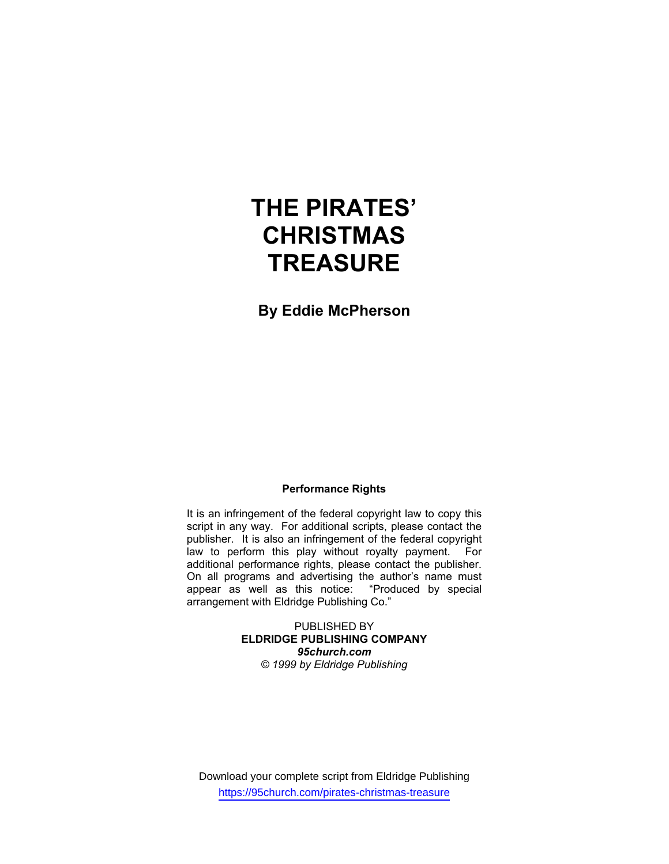# **THE PIRATES' CHRISTMAS TREASURE**

**By Eddie McPherson** 

# **Performance Rights**

It is an infringement of the federal copyright law to copy this script in any way. For additional scripts, please contact the publisher. It is also an infringement of the federal copyright law to perform this play without royalty payment. For additional performance rights, please contact the publisher. On all programs and advertising the author's name must appear as well as this notice: "Produced by special arrangement with Eldridge Publishing Co."

> PUBLISHED BY **ELDRIDGE PUBLISHING COMPANY**  *95church.com © 1999 by Eldridge Publishing*

Download your complete script from Eldridge Publishing https://95church.com/pirates-christmas-treasure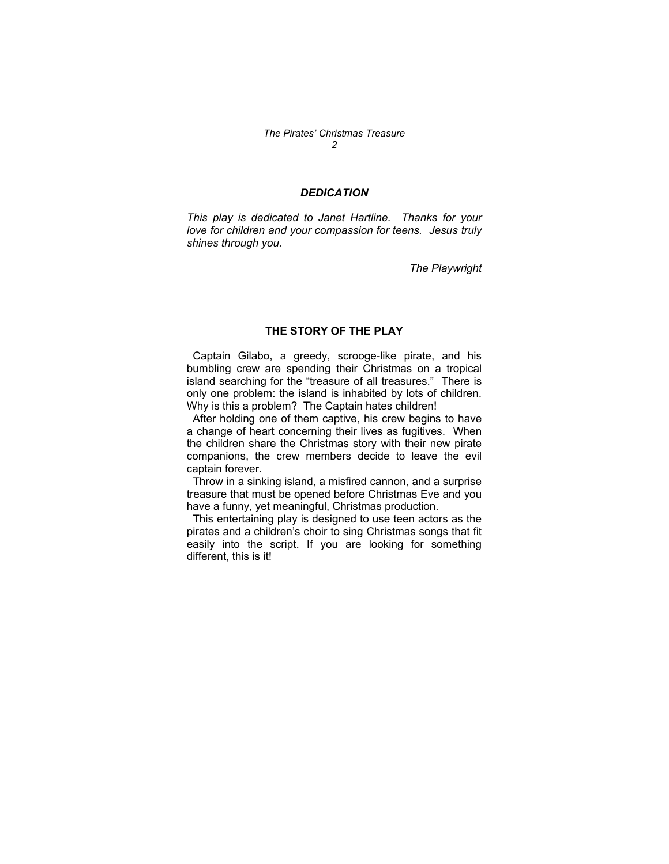# *The Pirates' Christmas Treasure 2*

# *DEDICATION*

*This play is dedicated to Janet Hartline. Thanks for your love for children and your compassion for teens. Jesus truly shines through you.* 

*The Playwright* 

# **THE STORY OF THE PLAY**

 Captain Gilabo, a greedy, scrooge-like pirate, and his bumbling crew are spending their Christmas on a tropical island searching for the "treasure of all treasures." There is only one problem: the island is inhabited by lots of children. Why is this a problem? The Captain hates children!

 After holding one of them captive, his crew begins to have a change of heart concerning their lives as fugitives. When the children share the Christmas story with their new pirate companions, the crew members decide to leave the evil captain forever.

 Throw in a sinking island, a misfired cannon, and a surprise treasure that must be opened before Christmas Eve and you have a funny, yet meaningful, Christmas production.

 This entertaining play is designed to use teen actors as the pirates and a children's choir to sing Christmas songs that fit easily into the script. If you are looking for something different, this is it!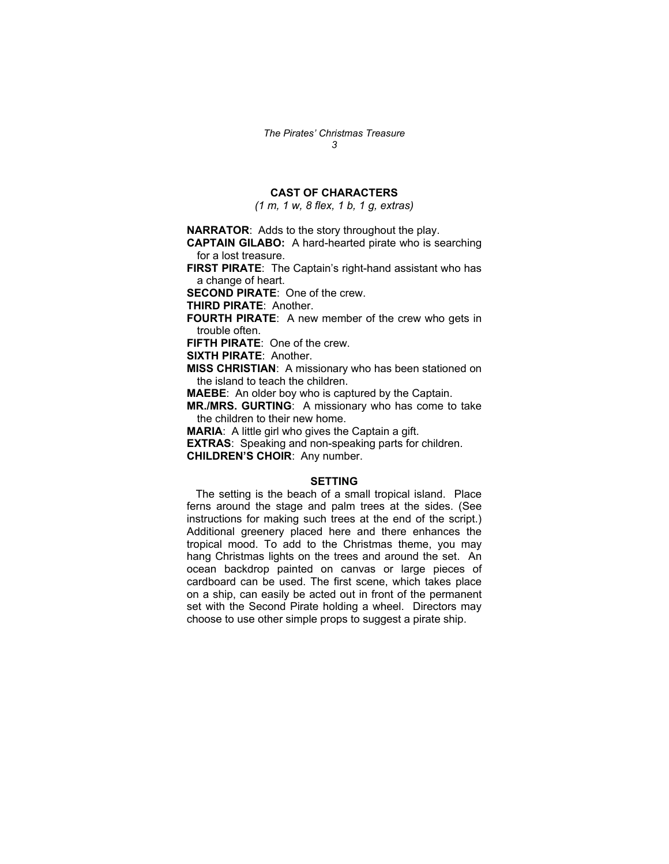# **CAST OF CHARACTERS**

*(1 m, 1 w, 8 flex, 1 b, 1 g, extras)*

**NARRATOR**: Adds to the story throughout the play.

**CAPTAIN GILABO:** A hard-hearted pirate who is searching for a lost treasure.

**FIRST PIRATE**: The Captain's right-hand assistant who has a change of heart.

**SECOND PIRATE**: One of the crew.

**THIRD PIRATE**: Another.

**FOURTH PIRATE**: A new member of the crew who gets in trouble often.

**FIFTH PIRATE**: One of the crew.

**SIXTH PIRATE**: Another.

**MISS CHRISTIAN**: A missionary who has been stationed on the island to teach the children.

**MAEBE**: An older boy who is captured by the Captain.

**MR./MRS. GURTING**: A missionary who has come to take the children to their new home.

**MARIA**: A little girl who gives the Captain a gift.

**EXTRAS**: Speaking and non-speaking parts for children.

**CHILDREN'S CHOIR**: Any number.

## **SETTING**

 The setting is the beach of a small tropical island. Place ferns around the stage and palm trees at the sides. (See instructions for making such trees at the end of the script.) Additional greenery placed here and there enhances the tropical mood. To add to the Christmas theme, you may hang Christmas lights on the trees and around the set. An ocean backdrop painted on canvas or large pieces of cardboard can be used. The first scene, which takes place on a ship, can easily be acted out in front of the permanent set with the Second Pirate holding a wheel. Directors may choose to use other simple props to suggest a pirate ship.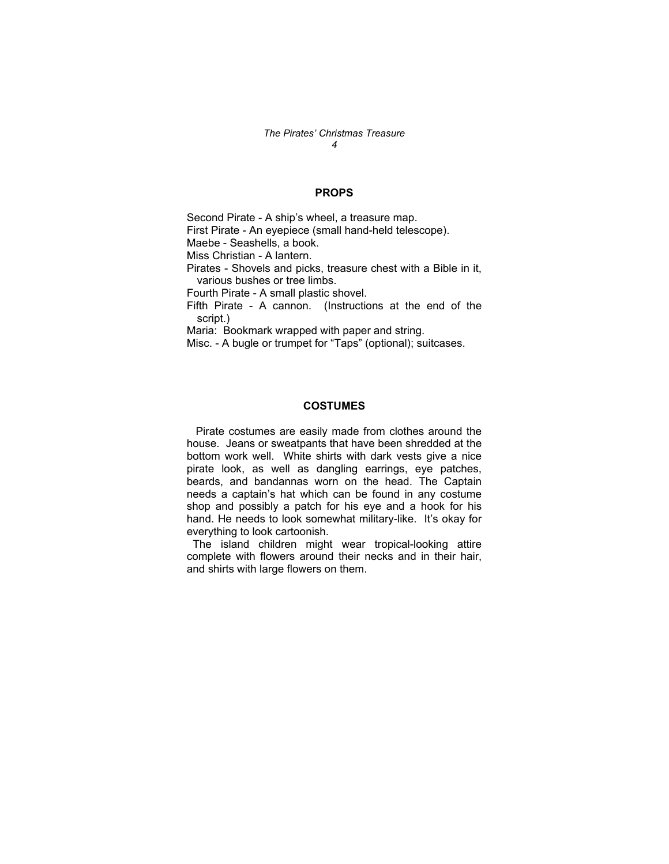#### *The Pirates' Christmas Treasure 4*

## **PROPS**

Second Pirate - A ship's wheel, a treasure map. First Pirate - An eyepiece (small hand-held telescope). Maebe - Seashells, a book. Miss Christian - A lantern. Pirates - Shovels and picks, treasure chest with a Bible in it, various bushes or tree limbs. Fourth Pirate - A small plastic shovel. Fifth Pirate - A cannon. (Instructions at the end of the script.) Maria: Bookmark wrapped with paper and string. Misc. - A bugle or trumpet for "Taps" (optional); suitcases.

## **COSTUMES**

 Pirate costumes are easily made from clothes around the house. Jeans or sweatpants that have been shredded at the bottom work well. White shirts with dark vests give a nice pirate look, as well as dangling earrings, eye patches, beards, and bandannas worn on the head. The Captain needs a captain's hat which can be found in any costume shop and possibly a patch for his eye and a hook for his hand. He needs to look somewhat military-like. It's okay for everything to look cartoonish.

 The island children might wear tropical-looking attire complete with flowers around their necks and in their hair, and shirts with large flowers on them.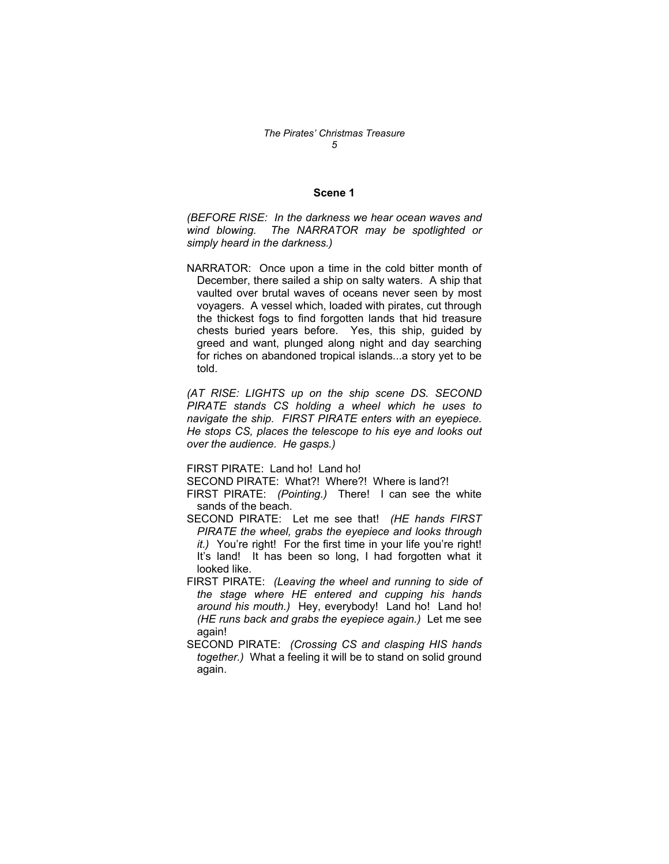# *The Pirates' Christmas Treasure 5*

### **Scene 1**

*(BEFORE RISE: In the darkness we hear ocean waves and wind blowing. The NARRATOR may be spotlighted or simply heard in the darkness.)* 

NARRATOR: Once upon a time in the cold bitter month of December, there sailed a ship on salty waters. A ship that vaulted over brutal waves of oceans never seen by most voyagers. A vessel which, loaded with pirates, cut through the thickest fogs to find forgotten lands that hid treasure chests buried years before. Yes, this ship, guided by greed and want, plunged along night and day searching for riches on abandoned tropical islands...a story yet to be told.

*(AT RISE: LIGHTS up on the ship scene DS. SECOND PIRATE stands CS holding a wheel which he uses to navigate the ship. FIRST PIRATE enters with an eyepiece. He stops CS, places the telescope to his eye and looks out over the audience. He gasps.)* 

FIRST PIRATE: Land ho! Land ho!

SECOND PIRATE: What?! Where?! Where is land?!

FIRST PIRATE: *(Pointing.)* There! I can see the white sands of the beach.

- SECOND PIRATE: Let me see that! *(HE hands FIRST PIRATE the wheel, grabs the eyepiece and looks through it.)* You're right! For the first time in your life you're right! It's land! It has been so long, I had forgotten what it looked like.
- FIRST PIRATE: *(Leaving the wheel and running to side of the stage where HE entered and cupping his hands around his mouth.)* Hey, everybody! Land ho! Land ho! *(HE runs back and grabs the eyepiece again.)* Let me see again!
- SECOND PIRATE: *(Crossing CS and clasping HIS hands together.)* What a feeling it will be to stand on solid ground again.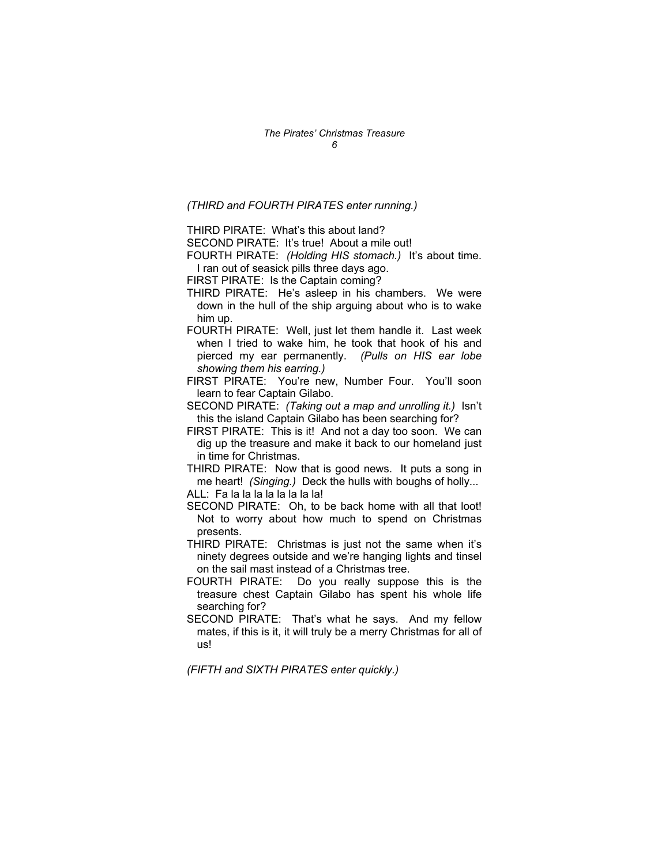*(THIRD and FOURTH PIRATES enter running.)*

THIRD PIRATE: What's this about land?

SECOND PIRATE: It's true! About a mile out!

FOURTH PIRATE: *(Holding HIS stomach.)* It's about time. I ran out of seasick pills three days ago.

- FIRST PIRATE: Is the Captain coming?
- THIRD PIRATE: He's asleep in his chambers. We were down in the hull of the ship arguing about who is to wake him up.
- FOURTH PIRATE: Well, just let them handle it. Last week when I tried to wake him, he took that hook of his and pierced my ear permanently. *(Pulls on HIS ear lobe showing them his earring.)*

FIRST PIRATE: You're new, Number Four. You'll soon learn to fear Captain Gilabo.

SECOND PIRATE: *(Taking out a map and unrolling it.)* Isn't this the island Captain Gilabo has been searching for?

FIRST PIRATE: This is it! And not a day too soon. We can dig up the treasure and make it back to our homeland just in time for Christmas.

THIRD PIRATE: Now that is good news. It puts a song in me heart! *(Singing.)* Deck the hulls with boughs of holly... ALL: Fa la la la la la la la la!

- SECOND PIRATE: Oh, to be back home with all that loot! Not to worry about how much to spend on Christmas presents.
- THIRD PIRATE: Christmas is just not the same when it's ninety degrees outside and we're hanging lights and tinsel on the sail mast instead of a Christmas tree.
- FOURTH PIRATE: Do you really suppose this is the treasure chest Captain Gilabo has spent his whole life searching for?
- SECOND PIRATE: That's what he says. And my fellow mates, if this is it, it will truly be a merry Christmas for all of us!

*(FIFTH and SIXTH PIRATES enter quickly.)*